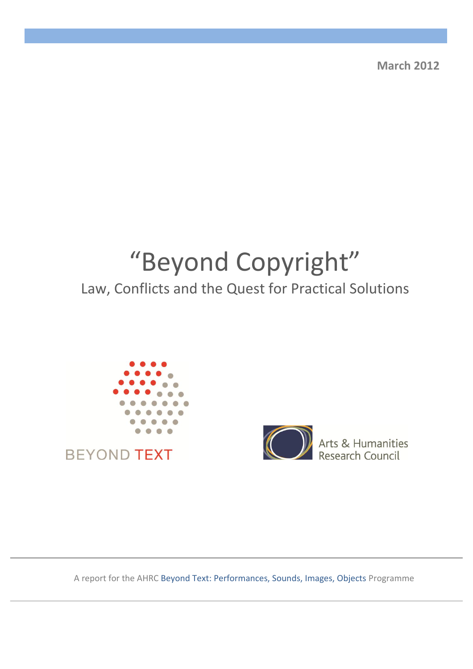**March 2012**

# "Beyond Copyright"

## Law, Conflicts and the Quest for Practical Solutions





Arts & Humanities

A report for the AHRC Beyond Text: Performances, Sounds, Images, Objects Programme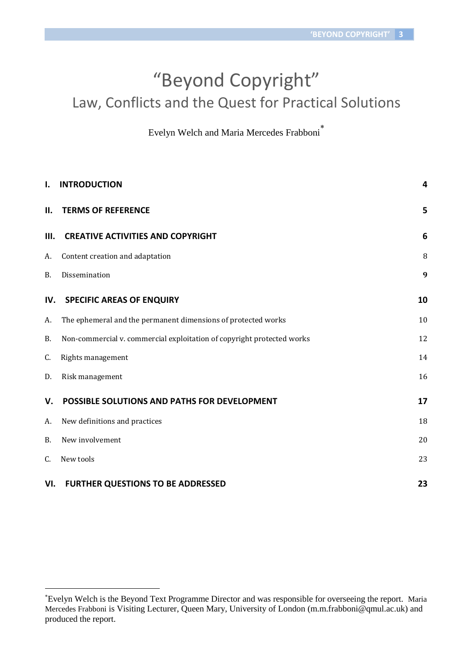## "Beyond Copyright" Law, Conflicts and the Quest for Practical Solutions

Evelyn Welch and Maria Mercedes Frabboni

| $\mathbf{I}$ . | <b>INTRODUCTION</b>                                                    | $\overline{\mathbf{4}}$ |
|----------------|------------------------------------------------------------------------|-------------------------|
| II.            | <b>TERMS OF REFERENCE</b>                                              | 5                       |
| III.           | <b>CREATIVE ACTIVITIES AND COPYRIGHT</b>                               | 6                       |
| A.             | Content creation and adaptation                                        | 8                       |
| <b>B.</b>      | Dissemination                                                          | 9                       |
| IV.            | <b>SPECIFIC AREAS OF ENQUIRY</b>                                       | 10                      |
| А.             | The ephemeral and the permanent dimensions of protected works          | 10                      |
| B.             | Non-commercial v. commercial exploitation of copyright protected works | 12                      |
| C.             | Rights management                                                      | 14                      |
| D.             | Risk management                                                        | 16                      |
| V.             | POSSIBLE SOLUTIONS AND PATHS FOR DEVELOPMENT                           | 17                      |
| А.             | New definitions and practices                                          | 18                      |
| <b>B.</b>      | New involvement                                                        | 20                      |
| C.             | New tools                                                              | 23                      |
| VI.            | <b>FURTHER QUESTIONS TO BE ADDRESSED</b>                               | 23                      |

Evelyn Welch is the Beyond Text Programme Director and was responsible for overseeing the report. Maria Mercedes Frabboni is Visiting Lecturer, Queen Mary, University of London [\(m.m.frabboni@qmul.ac.uk\)](mailto:m.m.frabboni@qmul.ac.uk) and produced the report.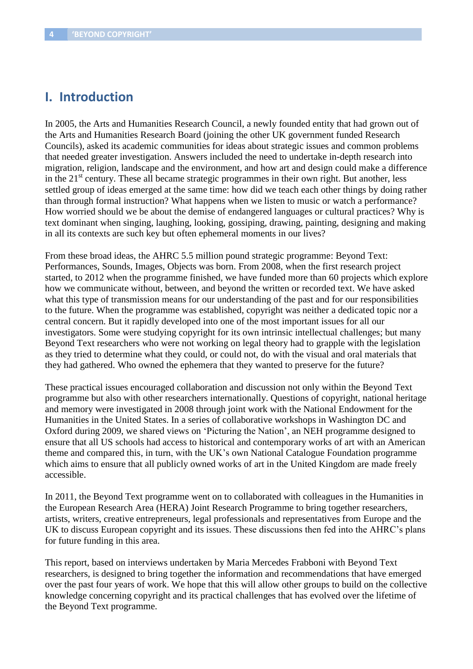## **I. Introduction**

In 2005, the Arts and Humanities Research Council, a newly founded entity that had grown out of the Arts and Humanities Research Board (joining the other UK government funded Research Councils), asked its academic communities for ideas about strategic issues and common problems that needed greater investigation. Answers included the need to undertake in-depth research into migration, religion, landscape and the environment, and how art and design could make a difference in the  $21<sup>st</sup>$  century. These all became strategic programmes in their own right. But another, less settled group of ideas emerged at the same time: how did we teach each other things by doing rather than through formal instruction? What happens when we listen to music or watch a performance? How worried should we be about the demise of endangered languages or cultural practices? Why is text dominant when singing, laughing, looking, gossiping, drawing, painting, designing and making in all its contexts are such key but often ephemeral moments in our lives?

From these broad ideas, the AHRC 5.5 million pound strategic programme: Beyond Text: Performances, Sounds, Images, Objects was born. From 2008, when the first research project started, to 2012 when the programme finished, we have funded more than 60 projects which explore how we communicate without, between, and beyond the written or recorded text. We have asked what this type of transmission means for our understanding of the past and for our responsibilities to the future. When the programme was established, copyright was neither a dedicated topic nor a central concern. But it rapidly developed into one of the most important issues for all our investigators. Some were studying copyright for its own intrinsic intellectual challenges; but many Beyond Text researchers who were not working on legal theory had to grapple with the legislation as they tried to determine what they could, or could not, do with the visual and oral materials that they had gathered. Who owned the ephemera that they wanted to preserve for the future?

These practical issues encouraged collaboration and discussion not only within the Beyond Text programme but also with other researchers internationally. Questions of copyright, national heritage and memory were investigated in 2008 through joint work with the National Endowment for the Humanities in the United States. In a series of collaborative workshops in Washington DC and Oxford during 2009, we shared views on 'Picturing the Nation', an NEH programme designed to ensure that all US schools had access to historical and contemporary works of art with an American theme and compared this, in turn, with the UK's own National Catalogue Foundation programme which aims to ensure that all publicly owned works of art in the United Kingdom are made freely accessible.

In 2011, the Beyond Text programme went on to collaborated with colleagues in the Humanities in the European Research Area (HERA) Joint Research Programme to bring together researchers, artists, writers, creative entrepreneurs, legal professionals and representatives from Europe and the UK to discuss European copyright and its issues. These discussions then fed into the AHRC's plans for future funding in this area.

This report, based on interviews undertaken by Maria Mercedes Frabboni with Beyond Text researchers, is designed to bring together the information and recommendations that have emerged over the past four years of work. We hope that this will allow other groups to build on the collective knowledge concerning copyright and its practical challenges that has evolved over the lifetime of the Beyond Text programme.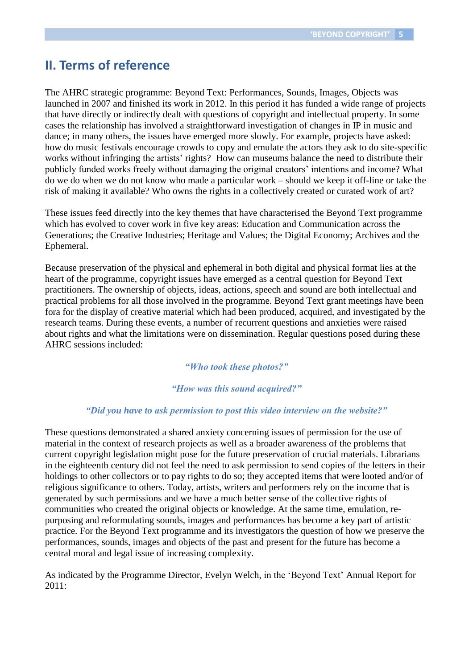## **II. Terms of reference**

The AHRC strategic programme: Beyond Text: Performances, Sounds, Images, Objects was launched in 2007 and finished its work in 2012. In this period it has funded a wide range of projects that have directly or indirectly dealt with questions of copyright and intellectual property. In some cases the relationship has involved a straightforward investigation of changes in IP in music and dance; in many others, the issues have emerged more slowly. For example, projects have asked: how do music festivals encourage crowds to copy and emulate the actors they ask to do site-specific works without infringing the artists' rights? How can museums balance the need to distribute their publicly funded works freely without damaging the original creators' intentions and income? What do we do when we do not know who made a particular work – should we keep it off-line or take the risk of making it available? Who owns the rights in a collectively created or curated work of art?

These issues feed directly into the key themes that have characterised the Beyond Text programme which has evolved to cover work in five key areas: Education and Communication across the Generations; the Creative Industries; Heritage and Values; the Digital Economy; Archives and the Ephemeral.

Because preservation of the physical and ephemeral in both digital and physical format lies at the heart of the programme, copyright issues have emerged as a central question for Beyond Text practitioners. The ownership of objects, ideas, actions, speech and sound are both intellectual and practical problems for all those involved in the programme. Beyond Text grant meetings have been fora for the display of creative material which had been produced, acquired, and investigated by the research teams. During these events, a number of recurrent questions and anxieties were raised about rights and what the limitations were on dissemination. Regular questions posed during these AHRC sessions included:

#### *"Who took these photos?"*

#### *"How was this sound acquired?"*

#### *"Did you have to ask permission to post this video interview on the website?"*

These questions demonstrated a shared anxiety concerning issues of permission for the use of material in the context of research projects as well as a broader awareness of the problems that current copyright legislation might pose for the future preservation of crucial materials. Librarians in the eighteenth century did not feel the need to ask permission to send copies of the letters in their holdings to other collectors or to pay rights to do so; they accepted items that were looted and/or of religious significance to others. Today, artists, writers and performers rely on the income that is generated by such permissions and we have a much better sense of the collective rights of communities who created the original objects or knowledge. At the same time, emulation, repurposing and reformulating sounds, images and performances has become a key part of artistic practice. For the Beyond Text programme and its investigators the question of how we preserve the performances, sounds, images and objects of the past and present for the future has become a central moral and legal issue of increasing complexity.

As indicated by the Programme Director, Evelyn Welch, in the 'Beyond Text' Annual Report for 2011: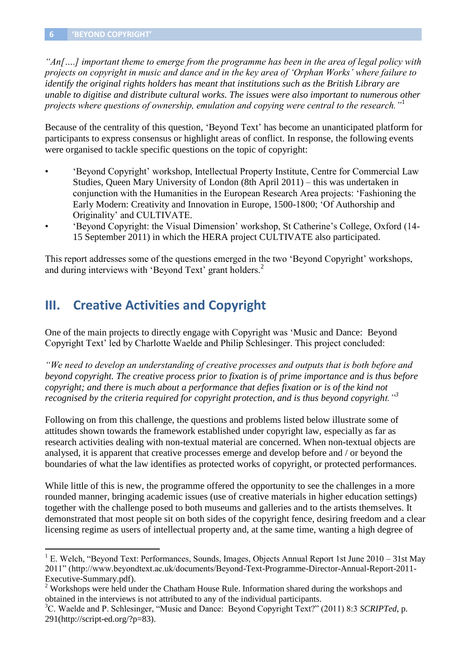$\overline{a}$ 

*"An[….] important theme to emerge from the programme has been in the area of legal policy with projects on copyright in music and dance and in the key area of 'Orphan Works' where failure to identify the original rights holders has meant that institutions such as the British Library are unable to digitise and distribute cultural works. The issues were also important to numerous other projects where questions of ownership, emulation and copying were central to the research."*<sup>1</sup>

Because of the centrality of this question, 'Beyond Text' has become an unanticipated platform for participants to express consensus or highlight areas of conflict. In response, the following events were organised to tackle specific questions on the topic of copyright:

- 'Beyond Copyright' workshop, Intellectual Property Institute, Centre for Commercial Law Studies, Queen Mary University of London (8th April 2011) – this was undertaken in conjunction with the Humanities in the European Research Area projects: 'Fashioning the Early Modern: Creativity and Innovation in Europe, 1500-1800; 'Of Authorship and Originality' and CULTIVATE.
- 'Beyond Copyright: the Visual Dimension' workshop, St Catherine's College, Oxford (14- 15 September 2011) in which the HERA project CULTIVATE also participated.

This report addresses some of the questions emerged in the two 'Beyond Copyright' workshops, and during interviews with 'Beyond Text' grant holders.<sup>2</sup>

## **III. Creative Activities and Copyright**

One of the main projects to directly engage with Copyright was 'Music and Dance: Beyond Copyright Text' led by Charlotte Waelde and Philip Schlesinger. This project concluded:

*"We need to develop an understanding of creative processes and outputs that is both before and beyond copyright. The creative process prior to fixation is of prime importance and is thus before copyright; and there is much about a performance that defies fixation or is of the kind not recognised by the criteria required for copyright protection, and is thus beyond copyright."<sup>3</sup>*

Following on from this challenge, the questions and problems listed below illustrate some of attitudes shown towards the framework established under copyright law, especially as far as research activities dealing with non-textual material are concerned. When non-textual objects are analysed, it is apparent that creative processes emerge and develop before and / or beyond the boundaries of what the law identifies as protected works of copyright, or protected performances.

While little of this is new, the programme offered the opportunity to see the challenges in a more rounded manner, bringing academic issues (use of creative materials in higher education settings) together with the challenge posed to both museums and galleries and to the artists themselves. It demonstrated that most people sit on both sides of the copyright fence, desiring freedom and a clear licensing regime as users of intellectual property and, at the same time, wanting a high degree of

<sup>&</sup>lt;sup>1</sup> E. Welch, "Beyond Text: Performances, Sounds, Images, Objects Annual Report 1st June 2010 – 31st May 2011" (http://www.beyondtext.ac.uk/documents/Beyond-Text-Programme-Director-Annual-Report-2011- Executive-Summary.pdf).

<sup>&</sup>lt;sup>2</sup> Workshops were held under the Chatham House Rule. Information shared during the workshops and obtained in the interviews is not attributed to any of the individual participants.

<sup>3</sup>C. Waelde and P. Schlesinger, "Music and Dance: Beyond Copyright Text?" (2011) 8:3 *SCRIPTed,* p. 291(http://script-ed.org/?p=83).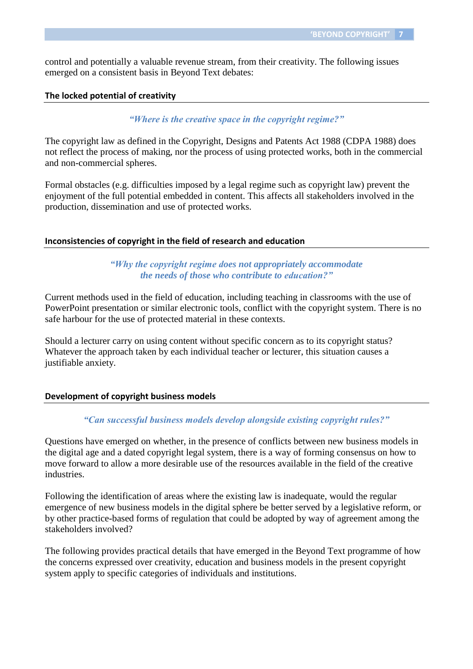control and potentially a valuable revenue stream, from their creativity. The following issues emerged on a consistent basis in Beyond Text debates:

#### **The locked potential of creativity**

*"Where is the creative space in the copyright regime?"*

The copyright law as defined in the Copyright, Designs and Patents Act 1988 (CDPA 1988) does not reflect the process of making, nor the process of using protected works, both in the commercial and non-commercial spheres.

Formal obstacles (e.g. difficulties imposed by a legal regime such as copyright law) prevent the enjoyment of the full potential embedded in content. This affects all stakeholders involved in the production, dissemination and use of protected works.

#### **Inconsistencies of copyright in the field of research and education**

*"Why the copyright regime does not appropriately accommodate the needs of those who contribute to education?"*

Current methods used in the field of education, including teaching in classrooms with the use of PowerPoint presentation or similar electronic tools, conflict with the copyright system. There is no safe harbour for the use of protected material in these contexts.

Should a lecturer carry on using content without specific concern as to its copyright status? Whatever the approach taken by each individual teacher or lecturer, this situation causes a justifiable anxiety.

#### **Development of copyright business models**

#### *"Can successful business models develop alongside existing copyright rules?"*

Questions have emerged on whether, in the presence of conflicts between new business models in the digital age and a dated copyright legal system, there is a way of forming consensus on how to move forward to allow a more desirable use of the resources available in the field of the creative industries.

Following the identification of areas where the existing law is inadequate, would the regular emergence of new business models in the digital sphere be better served by a legislative reform, or by other practice-based forms of regulation that could be adopted by way of agreement among the stakeholders involved?

The following provides practical details that have emerged in the Beyond Text programme of how the concerns expressed over creativity, education and business models in the present copyright system apply to specific categories of individuals and institutions.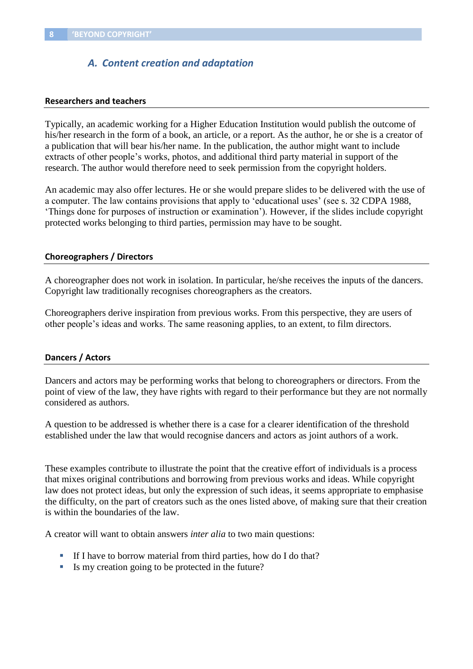## *A. Content creation and adaptation*

#### **Researchers and teachers**

Typically, an academic working for a Higher Education Institution would publish the outcome of his/her research in the form of a book, an article, or a report. As the author, he or she is a creator of a publication that will bear his/her name. In the publication, the author might want to include extracts of other people's works, photos, and additional third party material in support of the research. The author would therefore need to seek permission from the copyright holders.

An academic may also offer lectures. He or she would prepare slides to be delivered with the use of a computer. The law contains provisions that apply to 'educational uses' (see s. 32 CDPA 1988, 'Things done for purposes of instruction or examination'). However, if the slides include copyright protected works belonging to third parties, permission may have to be sought.

#### **Choreographers / Directors**

A choreographer does not work in isolation. In particular, he/she receives the inputs of the dancers. Copyright law traditionally recognises choreographers as the creators.

Choreographers derive inspiration from previous works. From this perspective, they are users of other people's ideas and works. The same reasoning applies, to an extent, to film directors.

#### **Dancers / Actors**

Dancers and actors may be performing works that belong to choreographers or directors. From the point of view of the law, they have rights with regard to their performance but they are not normally considered as authors.

A question to be addressed is whether there is a case for a clearer identification of the threshold established under the law that would recognise dancers and actors as joint authors of a work.

These examples contribute to illustrate the point that the creative effort of individuals is a process that mixes original contributions and borrowing from previous works and ideas. While copyright law does not protect ideas, but only the expression of such ideas, it seems appropriate to emphasise the difficulty, on the part of creators such as the ones listed above, of making sure that their creation is within the boundaries of the law.

A creator will want to obtain answers *inter alia* to two main questions:

- If I have to borrow material from third parties, how do I do that?
- Is my creation going to be protected in the future?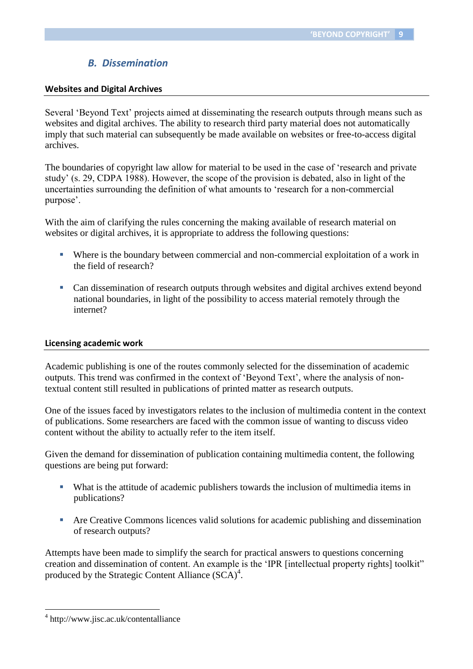## *B. Dissemination*

#### **Websites and Digital Archives**

Several 'Beyond Text' projects aimed at disseminating the research outputs through means such as websites and digital archives. The ability to research third party material does not automatically imply that such material can subsequently be made available on websites or free-to-access digital archives.

The boundaries of copyright law allow for material to be used in the case of 'research and private study' (s. 29, CDPA 1988). However, the scope of the provision is debated, also in light of the uncertainties surrounding the definition of what amounts to 'research for a non-commercial purpose'.

With the aim of clarifying the rules concerning the making available of research material on websites or digital archives, it is appropriate to address the following questions:

- Where is the boundary between commercial and non-commercial exploitation of a work in the field of research?
- Can dissemination of research outputs through websites and digital archives extend beyond national boundaries, in light of the possibility to access material remotely through the internet?

#### **Licensing academic work**

Academic publishing is one of the routes commonly selected for the dissemination of academic outputs. This trend was confirmed in the context of 'Beyond Text', where the analysis of nontextual content still resulted in publications of printed matter as research outputs.

One of the issues faced by investigators relates to the inclusion of multimedia content in the context of publications. Some researchers are faced with the common issue of wanting to discuss video content without the ability to actually refer to the item itself.

Given the demand for dissemination of publication containing multimedia content, the following questions are being put forward:

- What is the attitude of academic publishers towards the inclusion of multimedia items in publications?
- Are Creative Commons licences valid solutions for academic publishing and dissemination of research outputs?

Attempts have been made to simplify the search for practical answers to questions concerning creation and dissemination of content. An example is the 'IPR [intellectual property rights] toolkit" produced by the Strategic Content Alliance  $(SCA)^4$ .

<sup>4</sup> http://www.jisc.ac.uk/contentalliance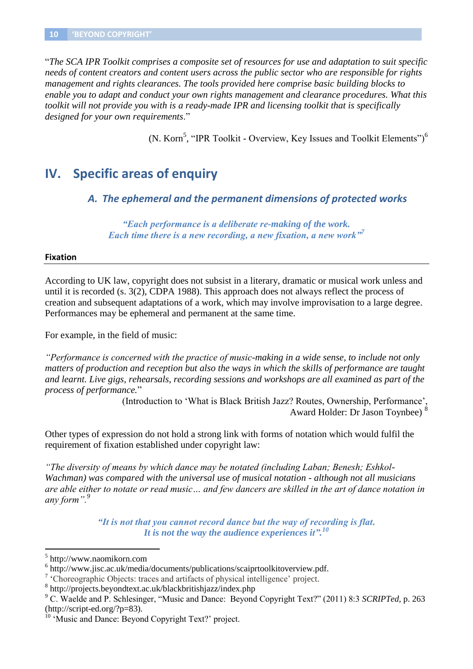"*The SCA IPR Toolkit comprises a composite set of resources for use and adaptation to suit specific needs of content creators and content users across the public sector who are responsible for rights management and rights clearances. The tools provided here comprise basic building blocks to enable you to adapt and conduct your own rights management and clearance procedures. What this toolkit will not provide you with is a ready-made IPR and licensing toolkit that is specifically designed for your own requirements*."

(N. Korn<sup>5</sup>, "IPR Toolkit - Overview, Key Issues and Toolkit Elements")<sup>6</sup>

## **IV. Specific areas of enquiry**

*A. The ephemeral and the permanent dimensions of protected works*

*"Each performance is a deliberate re-making of the work. Each time there is a new recording, a new fixation, a new work"<sup>7</sup>*

#### **Fixation**

According to UK law, copyright does not subsist in a literary, dramatic or musical work unless and until it is recorded (s. 3(2), CDPA 1988). This approach does not always reflect the process of creation and subsequent adaptations of a work, which may involve improvisation to a large degree. Performances may be ephemeral and permanent at the same time.

For example, in the field of music:

*"Performance is concerned with the practice of music-making in a wide sense, to include not only matters of production and reception but also the ways in which the skills of performance are taught and learnt. Live gigs, rehearsals, recording sessions and workshops are all examined as part of the process of performance.*"

> (Introduction to 'What is Black British Jazz? Routes, Ownership, Performance', Award Holder: Dr Jason Toynbee) <sup>8</sup>

Other types of expression do not hold a strong link with forms of notation which would fulfil the requirement of fixation established under copyright law:

*"The diversity of means by which dance may be notated (including Laban; Benesh; Eshkol-Wachman) was compared with the universal use of musical notation - although not all musicians are able either to notate or read music… and few dancers are skilled in the art of dance notation in any form".<sup>9</sup>*

> *"It is not that you cannot record dance but the way of recording is flat. It is not the way the audience experiences it".<sup>10</sup>*

<sup>5</sup> http://www.naomikorn.com

<sup>&</sup>lt;sup>6</sup> http://www.jisc.ac.uk/media/documents/publications/scaiprtoolkitoverview.pdf.

<sup>&</sup>lt;sup>7</sup> 'Choreographic Objects: traces and artifacts of physical intelligence' project.

<sup>8</sup> http://projects.beyondtext.ac.uk/blackbritishjazz/index.php

<sup>9</sup> C. Waelde and P. Schlesinger, "Music and Dance: Beyond Copyright Text?" (2011) 8:3 *SCRIPTed,* p. 263 (http://script-ed.org/?p=83).

<sup>&</sup>lt;sup>10</sup> 'Music and Dance: Beyond Copyright Text?' project.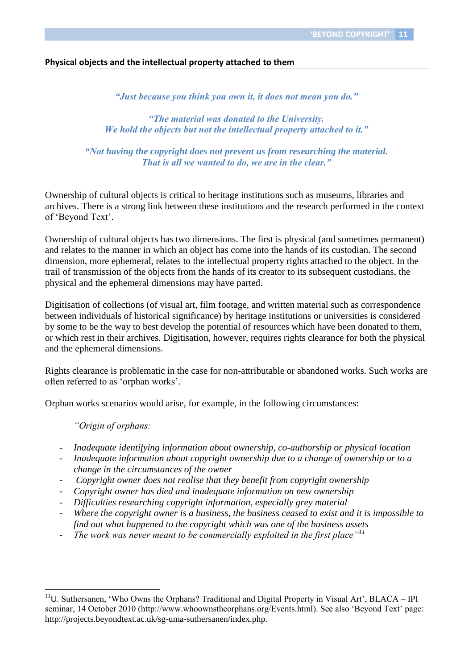#### **Physical objects and the intellectual property attached to them**

*"Just because you think you own it, it does not mean you do."*

*"The material was donated to the University. We hold the objects but not the intellectual property attached to it."*

*"Not having the copyright does not prevent us from researching the material. That is all we wanted to do, we are in the clear."*

Ownership of cultural objects is critical to heritage institutions such as museums, libraries and archives. There is a strong link between these institutions and the research performed in the context of 'Beyond Text'.

Ownership of cultural objects has two dimensions. The first is physical (and sometimes permanent) and relates to the manner in which an object has come into the hands of its custodian. The second dimension, more ephemeral, relates to the intellectual property rights attached to the object. In the trail of transmission of the objects from the hands of its creator to its subsequent custodians, the physical and the ephemeral dimensions may have parted.

Digitisation of collections (of visual art, film footage, and written material such as correspondence between individuals of historical significance) by heritage institutions or universities is considered by some to be the way to best develop the potential of resources which have been donated to them, or which rest in their archives. Digitisation, however, requires rights clearance for both the physical and the ephemeral dimensions.

Rights clearance is problematic in the case for non-attributable or abandoned works. Such works are often referred to as 'orphan works'.

Orphan works scenarios would arise, for example, in the following circumstances:

*"Origin of orphans:*

- *Inadequate identifying information about ownership, co-authorship or physical location*
- *Inadequate information about copyright ownership due to a change of ownership or to a change in the circumstances of the owner*
- *Copyright owner does not realise that they benefit from copyright ownership*
- *Copyright owner has died and inadequate information on new ownership*
- *Difficulties researching copyright information, especially grey material*
- *Where the copyright owner is a business, the business ceased to exist and it is impossible to find out what happened to the copyright which was one of the business assets*
- The work was never meant to be commercially exploited in the first place<sup>"*11*</sup>

 $11$ U. Suthersanen, 'Who Owns the Orphans? Traditional and Digital Property in Visual Art', BLACA – IPI seminar, 14 October 2010 (http://www.whoownstheorphans.org/Events.html). See also 'Beyond Text' page: http://projects.beyondtext.ac.uk/sg-uma-suthersanen/index.php.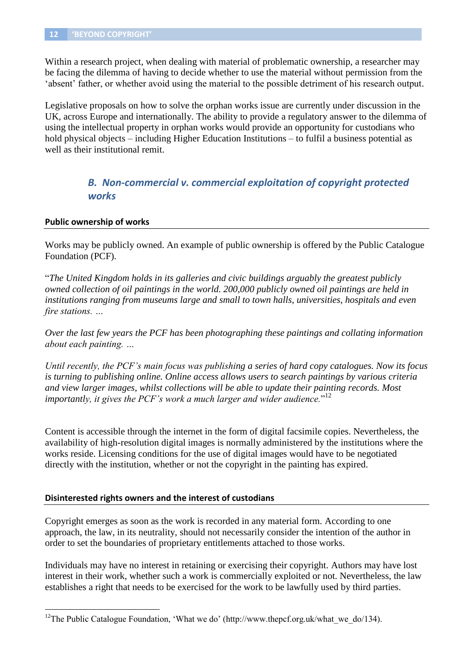Within a research project, when dealing with material of problematic ownership, a researcher may be facing the dilemma of having to decide whether to use the material without permission from the 'absent' father, or whether avoid using the material to the possible detriment of his research output.

Legislative proposals on how to solve the orphan works issue are currently under discussion in the UK, across Europe and internationally. The ability to provide a regulatory answer to the dilemma of using the intellectual property in orphan works would provide an opportunity for custodians who hold physical objects – including Higher Education Institutions – to fulfil a business potential as well as their institutional remit.

## *B. Non-commercial v. commercial exploitation of copyright protected works*

#### **Public ownership of works**

 $\overline{a}$ 

Works may be publicly owned. An example of public ownership is offered by the Public Catalogue Foundation (PCF).

"*The United Kingdom holds in its galleries and civic buildings arguably the greatest publicly owned collection of oil paintings in the world. 200,000 publicly owned oil paintings are held in institutions ranging from museums large and small to town halls, universities, hospitals and even fire stations. …* 

*Over the last few years the PCF has been photographing these paintings and collating information about each painting. …* 

*Until recently, the PCF's main focus was publishing a series of hard copy catalogues. Now its focus is turning to publishing online. Online access allows users to search paintings by various criteria and view larger images, whilst collections will be able to update their painting records. Most importantly, it gives the PCF's work a much larger and wider audience.*" 12

Content is accessible through the internet in the form of digital facsimile copies. Nevertheless, the availability of high-resolution digital images is normally administered by the institutions where the works reside. Licensing conditions for the use of digital images would have to be negotiated directly with the institution, whether or not the copyright in the painting has expired.

#### **Disinterested rights owners and the interest of custodians**

Copyright emerges as soon as the work is recorded in any material form. According to one approach, the law, in its neutrality, should not necessarily consider the intention of the author in order to set the boundaries of proprietary entitlements attached to those works.

Individuals may have no interest in retaining or exercising their copyright. Authors may have lost interest in their work, whether such a work is commercially exploited or not. Nevertheless, the law establishes a right that needs to be exercised for the work to be lawfully used by third parties.

<sup>&</sup>lt;sup>12</sup>The Public Catalogue Foundation, 'What we do' (http://www.thepcf.org.uk/what\_we\_do/134).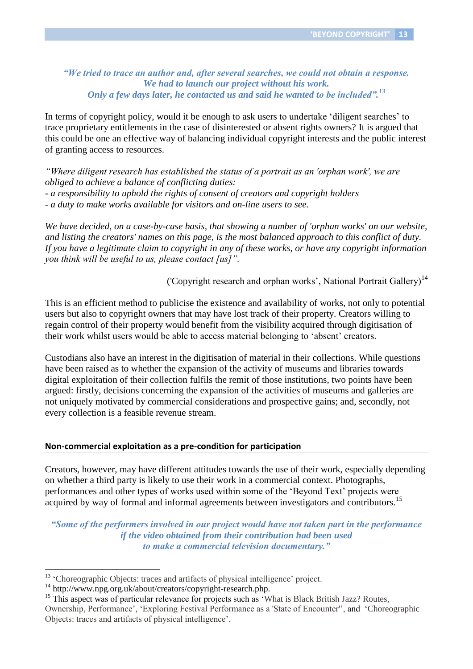*"We tried to trace an author and, after several searches, we could not obtain a response. We had to launch our project without his work. Only a few days later, he contacted us and said he wanted to be included".<sup>13</sup>*

In terms of copyright policy, would it be enough to ask users to undertake 'diligent searches' to trace proprietary entitlements in the case of disinterested or absent rights owners? It is argued that this could be one an effective way of balancing individual copyright interests and the public interest of granting access to resources.

*"Where diligent research has established the status of a portrait as an 'orphan work', we are obliged to achieve a balance of conflicting duties: - a responsibility to uphold the rights of consent of creators and copyright holders - a duty to make works available for visitors and on-line users to see.*

*We have decided, on a case-by-case basis, that showing a number of 'orphan works' on our website, and listing the creators' names on this page, is the most balanced approach to this conflict of duty. If you have a legitimate claim to copyright in any of these works, or have any copyright information you think will be useful to us, please contact [us]".*

('Copyright research and orphan works', National Portrait Gallery)<sup>14</sup>

This is an efficient method to publicise the existence and availability of works, not only to potential users but also to copyright owners that may have lost track of their property. Creators willing to regain control of their property would benefit from the visibility acquired through digitisation of their work whilst users would be able to access material belonging to 'absent' creators.

Custodians also have an interest in the digitisation of material in their collections. While questions have been raised as to whether the expansion of the activity of museums and libraries towards digital exploitation of their collection fulfils the remit of those institutions, two points have been argued: firstly, decisions concerning the expansion of the activities of museums and galleries are not uniquely motivated by commercial considerations and prospective gains; and, secondly, not every collection is a feasible revenue stream.

#### **Non-commercial exploitation as a pre-condition for participation**

Creators, however, may have different attitudes towards the use of their work, especially depending on whether a third party is likely to use their work in a commercial context. Photographs, performances and other types of works used within some of the 'Beyond Text' projects were acquired by way of formal and informal agreements between investigators and contributors.<sup>15</sup>

*"Some of the performers involved in our project would have not taken part in the performance if the video obtained from their contribution had been used to make a commercial television documentary."*

 $\overline{a}$ 

<sup>15</sup> This aspect was of particular relevance for projects such as 'What is Black British Jazz? Routes, Ownership, Performance', 'Exploring Festival Performance as a 'State of Encounter'', and 'Choreographic Objects: traces and artifacts of physical intelligence'.

<sup>&</sup>lt;sup>13</sup> 'Choreographic Objects: traces and artifacts of physical intelligence' project.

<sup>&</sup>lt;sup>14</sup> http://www.npg.org.uk/about/creators/copyright-research.php.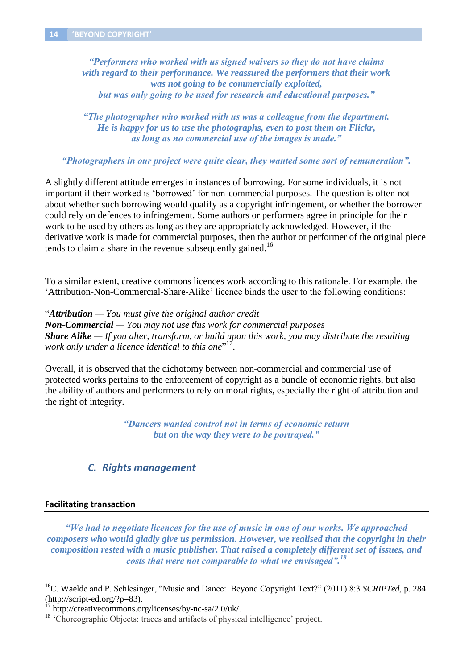*"Performers who worked with us signed waivers so they do not have claims with regard to their performance. We reassured the performers that their work was not going to be commercially exploited, but was only going to be used for research and educational purposes."*

*"The photographer who worked with us was a colleague from the department. He is happy for us to use the photographs, even to post them on Flickr, as long as no commercial use of the images is made."*

*"Photographers in our project were quite clear, they wanted some sort of remuneration".*

A slightly different attitude emerges in instances of borrowing. For some individuals, it is not important if their worked is 'borrowed' for non-commercial purposes. The question is often not about whether such borrowing would qualify as a copyright infringement, or whether the borrower could rely on defences to infringement. Some authors or performers agree in principle for their work to be used by others as long as they are appropriately acknowledged. However, if the derivative work is made for commercial purposes, then the author or performer of the original piece tends to claim a share in the revenue subsequently gained.<sup>16</sup>

To a similar extent, creative commons licences work according to this rationale. For example, the 'Attribution-Non-Commercial-Share-Alike' licence binds the user to the following conditions:

"*Attribution — You must give the original author credit Non-Commercial — You may not use this work for commercial purposes Share Alike — If you alter, transform, or build upon this work, you may distribute the resulting work only under a licence identical to this one*" 17 .

Overall, it is observed that the dichotomy between non-commercial and commercial use of protected works pertains to the enforcement of copyright as a bundle of economic rights, but also the ability of authors and performers to rely on moral rights, especially the right of attribution and the right of integrity.

> *"Dancers wanted control not in terms of economic return but on the way they were to be portrayed."*

#### *C. Rights management*

#### **Facilitating transaction**

 $\overline{a}$ 

*"We had to negotiate licences for the use of music in one of our works. We approached composers who would gladly give us permission. However, we realised that the copyright in their composition rested with a music publisher. That raised a completely different set of issues, and costs that were not comparable to what we envisaged".<sup>18</sup>*

<sup>16</sup>C. Waelde and P. Schlesinger, "Music and Dance: Beyond Copyright Text?" (2011) 8:3 *SCRIPTed,* p. 284 (http://script-ed.org/?p=83).

 $17 \text{ http://creativecommons.org/licenses/by-nc-sa/2.0/uk/">$ .

<sup>&</sup>lt;sup>18</sup> 'Choreographic Objects: traces and artifacts of physical intelligence' project.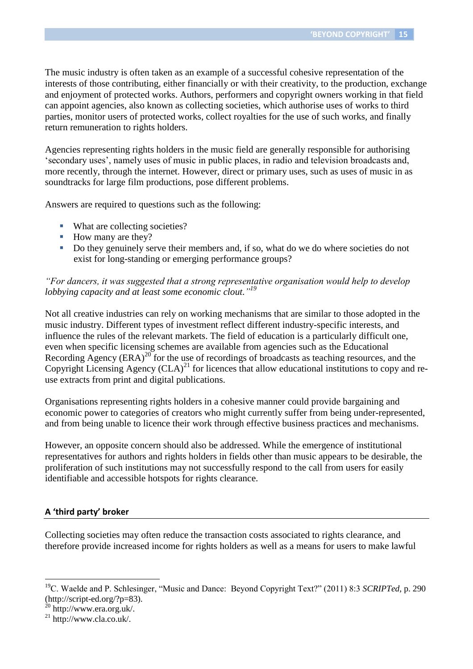The music industry is often taken as an example of a successful cohesive representation of the interests of those contributing, either financially or with their creativity, to the production, exchange and enjoyment of protected works. Authors, performers and copyright owners working in that field can appoint agencies, also known as collecting societies, which authorise uses of works to third parties, monitor users of protected works, collect royalties for the use of such works, and finally return remuneration to rights holders.

Agencies representing rights holders in the music field are generally responsible for authorising 'secondary uses', namely uses of music in public places, in radio and television broadcasts and, more recently, through the internet. However, direct or primary uses, such as uses of music in as soundtracks for large film productions, pose different problems.

Answers are required to questions such as the following:

- What are collecting societies?
- How many are they?
- Do they genuinely serve their members and, if so, what do we do where societies do not exist for long-standing or emerging performance groups?

#### *"For dancers, it was suggested that a strong representative organisation would help to develop lobbying capacity and at least some economic clout." 19*

Not all creative industries can rely on working mechanisms that are similar to those adopted in the music industry. Different types of investment reflect different industry-specific interests, and influence the rules of the relevant markets. The field of education is a particularly difficult one, even when specific licensing schemes are available from agencies such as the Educational Recording Agency  $(ERA)^{20}$  for the use of recordings of broadcasts as teaching resources, and the Copyright Licensing Agency  $(CLA)^{21}$  for licences that allow educational institutions to copy and reuse extracts from print and digital publications.

Organisations representing rights holders in a cohesive manner could provide bargaining and economic power to categories of creators who might currently suffer from being under-represented, and from being unable to licence their work through effective business practices and mechanisms.

However, an opposite concern should also be addressed. While the emergence of institutional representatives for authors and rights holders in fields other than music appears to be desirable, the proliferation of such institutions may not successfully respond to the call from users for easily identifiable and accessible hotspots for rights clearance.

#### **A 'third party' broker**

Collecting societies may often reduce the transaction costs associated to rights clearance, and therefore provide increased income for rights holders as well as a means for users to make lawful

<sup>19</sup>C. Waelde and P. Schlesinger, "Music and Dance: Beyond Copyright Text?" (2011) 8:3 *SCRIPTed,* p. 290 (http://script-ed.org/?p=83).

<sup>20</sup> http://www.era.org.uk/.

 $^{21}$  http://www.cla.co.uk/.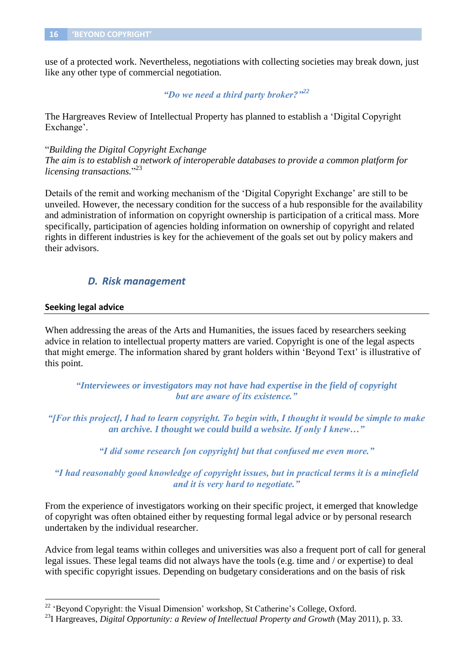use of a protected work. Nevertheless, negotiations with collecting societies may break down, just like any other type of commercial negotiation.

#### *"Do we need a third party broker?"<sup>22</sup>*

The Hargreaves Review of Intellectual Property has planned to establish a 'Digital Copyright Exchange'.

"*Building the Digital Copyright Exchange*

*The aim is to establish a network of interoperable databases to provide a common platform for licensing transactions.*" 23

Details of the remit and working mechanism of the 'Digital Copyright Exchange' are still to be unveiled. However, the necessary condition for the success of a hub responsible for the availability and administration of information on copyright ownership is participation of a critical mass. More specifically, participation of agencies holding information on ownership of copyright and related rights in different industries is key for the achievement of the goals set out by policy makers and their advisors.

### *D. Risk management*

#### **Seeking legal advice**

 $\overline{a}$ 

When addressing the areas of the Arts and Humanities, the issues faced by researchers seeking advice in relation to intellectual property matters are varied. Copyright is one of the legal aspects that might emerge. The information shared by grant holders within 'Beyond Text' is illustrative of this point.

*"Interviewees or investigators may not have had expertise in the field of copyright but are aware of its existence."*

*"[For this project], I had to learn copyright. To begin with, I thought it would be simple to make an archive. I thought we could build a website. If only I knew…"*

*"I did some research [on copyright] but that confused me even more."*

*"I had reasonably good knowledge of copyright issues, but in practical terms it is a minefield and it is very hard to negotiate."*

From the experience of investigators working on their specific project, it emerged that knowledge of copyright was often obtained either by requesting formal legal advice or by personal research undertaken by the individual researcher.

Advice from legal teams within colleges and universities was also a frequent port of call for general legal issues. These legal teams did not always have the tools (e.g. time and / or expertise) to deal with specific copyright issues. Depending on budgetary considerations and on the basis of risk

<sup>&</sup>lt;sup>22</sup> 'Beyond Copyright: the Visual Dimension' workshop, St Catherine's College, Oxford.

<sup>&</sup>lt;sup>23</sup>I Hargreaves, *Digital Opportunity: a Review of Intellectual Property and Growth* (May 2011), p. 33.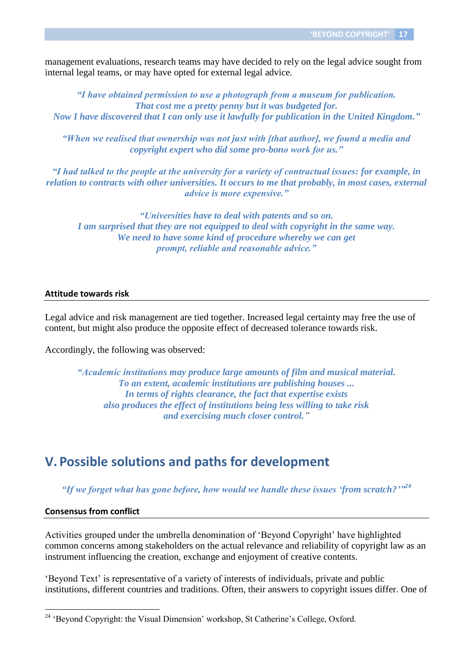management evaluations, research teams may have decided to rely on the legal advice sought from internal legal teams, or may have opted for external legal advice.

*"I have obtained permission to use a photograph from a museum for publication. That cost me a pretty penny but it was budgeted for. Now I have discovered that I can only use it lawfully for publication in the United Kingdom."*

*"When we realised that ownership was not just with [that author], we found a media and copyright expert who did some pro-bono work for us."*

*"I had talked to the people at the university for a variety of contractual issues: for example, in relation to contracts with other universities. It occurs to me that probably, in most cases, external advice is more expensive."*

*"Universities have to deal with patents and so on. I am surprised that they are not equipped to deal with copyright in the same way. We need to have some kind of procedure whereby we can get prompt, reliable and reasonable advice."*

#### **Attitude towards risk**

Legal advice and risk management are tied together. Increased legal certainty may free the use of content, but might also produce the opposite effect of decreased tolerance towards risk.

Accordingly, the following was observed:

*"Academic institutions may produce large amounts of film and musical material. To an extent, academic institutions are publishing houses ... In terms of rights clearance, the fact that expertise exists also produces the effect of institutions being less willing to take risk and exercising much closer control."*

## **V. Possible solutions and paths for development**

"If we forget what has gone before, how would we handle these issues 'from scratch?"<sup>24</sup>

#### **Consensus from conflict**

 $\overline{a}$ 

Activities grouped under the umbrella denomination of 'Beyond Copyright' have highlighted common concerns among stakeholders on the actual relevance and reliability of copyright law as an instrument influencing the creation, exchange and enjoyment of creative contents.

'Beyond Text' is representative of a variety of interests of individuals, private and public institutions, different countries and traditions. Often, their answers to copyright issues differ. One of

<sup>&</sup>lt;sup>24</sup> 'Beyond Copyright: the Visual Dimension' workshop, St Catherine's College, Oxford.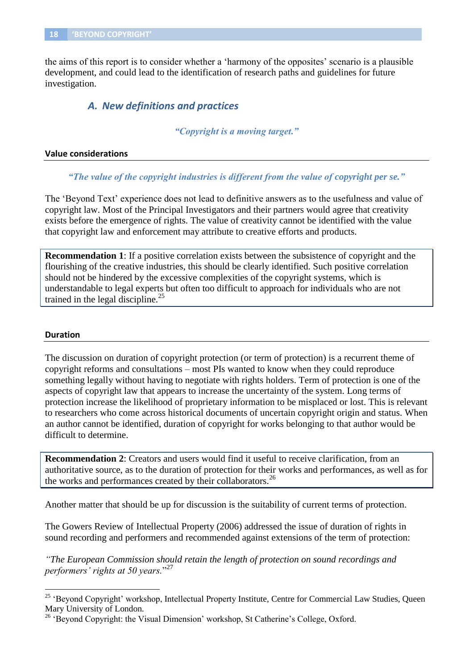the aims of this report is to consider whether a 'harmony of the opposites' scenario is a plausible development, and could lead to the identification of research paths and guidelines for future investigation.

#### *A. New definitions and practices*

*"Copyright is a moving target."*

#### **Value considerations**

*"The value of the copyright industries is different from the value of copyright per se."*

The 'Beyond Text' experience does not lead to definitive answers as to the usefulness and value of copyright law. Most of the Principal Investigators and their partners would agree that creativity exists before the emergence of rights. The value of creativity cannot be identified with the value that copyright law and enforcement may attribute to creative efforts and products.

**Recommendation 1**: If a positive correlation exists between the subsistence of copyright and the flourishing of the creative industries, this should be clearly identified. Such positive correlation should not be hindered by the excessive complexities of the copyright systems, which is understandable to legal experts but often too difficult to approach for individuals who are not trained in the legal discipline. $^{25}$ 

#### **Duration**

 $\overline{a}$ 

The discussion on duration of copyright protection (or term of protection) is a recurrent theme of copyright reforms and consultations – most PIs wanted to know when they could reproduce something legally without having to negotiate with rights holders. Term of protection is one of the aspects of copyright law that appears to increase the uncertainty of the system. Long terms of protection increase the likelihood of proprietary information to be misplaced or lost. This is relevant to researchers who come across historical documents of uncertain copyright origin and status. When an author cannot be identified, duration of copyright for works belonging to that author would be difficult to determine.

**Recommendation 2**: Creators and users would find it useful to receive clarification, from an authoritative source, as to the duration of protection for their works and performances, as well as for the works and performances created by their collaborators.<sup>26</sup>

Another matter that should be up for discussion is the suitability of current terms of protection.

The Gowers Review of Intellectual Property (2006) addressed the issue of duration of rights in sound recording and performers and recommended against extensions of the term of protection:

*"The European Commission should retain the length of protection on sound recordings and performers' rights at 50 years.*" 27

<sup>&</sup>lt;sup>25</sup> 'Beyond Copyright' workshop, Intellectual Property Institute, Centre for Commercial Law Studies, Queen Mary University of London.

<sup>&</sup>lt;sup>26</sup> 'Beyond Copyright: the Visual Dimension' workshop, St Catherine's College, Oxford.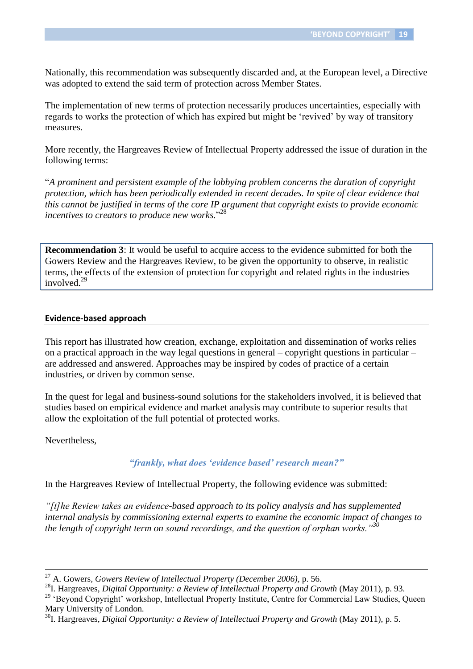Nationally, this recommendation was subsequently discarded and, at the European level, a Directive was adopted to extend the said term of protection across Member States.

The implementation of new terms of protection necessarily produces uncertainties, especially with regards to works the protection of which has expired but might be 'revived' by way of transitory measures.

More recently, the Hargreaves Review of Intellectual Property addressed the issue of duration in the following terms:

"*A prominent and persistent example of the lobbying problem concerns the duration of copyright protection, which has been periodically extended in recent decades. In spite of clear evidence that this cannot be justified in terms of the core IP argument that copyright exists to provide economic incentives to creators to produce new works.*" 28

**Recommendation 3**: It would be useful to acquire access to the evidence submitted for both the Gowers Review and the Hargreaves Review, to be given the opportunity to observe, in realistic terms, the effects of the extension of protection for copyright and related rights in the industries involved.<sup>29</sup>

#### **Evidence-based approach**

This report has illustrated how creation, exchange, exploitation and dissemination of works relies on a practical approach in the way legal questions in general – copyright questions in particular – are addressed and answered. Approaches may be inspired by codes of practice of a certain industries, or driven by common sense.

In the quest for legal and business-sound solutions for the stakeholders involved, it is believed that studies based on empirical evidence and market analysis may contribute to superior results that allow the exploitation of the full potential of protected works.

Nevertheless,

 $\overline{a}$ 

#### *"frankly, what does 'evidence based' research mean?"*

In the Hargreaves Review of Intellectual Property, the following evidence was submitted:

*"[t]he Review takes an evidence-based approach to its policy analysis and has supplemented internal analysis by commissioning external experts to examine the economic impact of changes to the length of copyright term on sound recordings, and the question of orphan works."<sup>30</sup>*

<sup>27</sup> A. Gowers*, Gowers Review of Intellectual Property (December 2006),* p. 56.

<sup>&</sup>lt;sup>28</sup>I. Hargreaves, *Digital Opportunity: a Review of Intellectual Property and Growth* (May 2011), p. 93.

<sup>&</sup>lt;sup>29</sup> 'Beyond Copyright' workshop, Intellectual Property Institute, Centre for Commercial Law Studies, Queen Mary University of London.

<sup>&</sup>lt;sup>30</sup>I. Hargreaves, *Digital Opportunity: a Review of Intellectual Property and Growth* (May 2011), p. 5.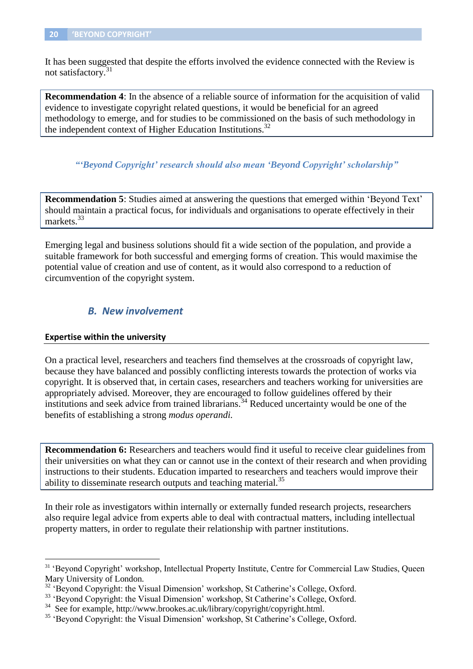It has been suggested that despite the efforts involved the evidence connected with the Review is not satisfactory. 31

**Recommendation 4**: In the absence of a reliable source of information for the acquisition of valid evidence to investigate copyright related questions, it would be beneficial for an agreed methodology to emerge, and for studies to be commissioned on the basis of such methodology in the independent context of Higher Education Institutions.<sup>32</sup>

*"'Beyond Copyright' research should also mean 'Beyond Copyright' scholarship"*

**Recommendation 5**: Studies aimed at answering the questions that emerged within 'Beyond Text' should maintain a practical focus, for individuals and organisations to operate effectively in their markets.<sup>33</sup>

Emerging legal and business solutions should fit a wide section of the population, and provide a suitable framework for both successful and emerging forms of creation. This would maximise the potential value of creation and use of content, as it would also correspond to a reduction of circumvention of the copyright system.

#### *B. New involvement*

#### **Expertise within the university**

 $\overline{a}$ 

On a practical level, researchers and teachers find themselves at the crossroads of copyright law, because they have balanced and possibly conflicting interests towards the protection of works via copyright. It is observed that, in certain cases, researchers and teachers working for universities are appropriately advised. Moreover, they are encouraged to follow guidelines offered by their institutions and seek advice from trained librarians.<sup>34</sup> Reduced uncertainty would be one of the benefits of establishing a strong *modus operandi.*

**Recommendation 6:** Researchers and teachers would find it useful to receive clear guidelines from their universities on what they can or cannot use in the context of their research and when providing instructions to their students. Education imparted to researchers and teachers would improve their ability to disseminate research outputs and teaching material.<sup>35</sup>

In their role as investigators within internally or externally funded research projects, researchers also require legal advice from experts able to deal with contractual matters, including intellectual property matters, in order to regulate their relationship with partner institutions.

<sup>&</sup>lt;sup>31</sup> 'Beyond Copyright' workshop, Intellectual Property Institute, Centre for Commercial Law Studies, Queen Mary University of London.

<sup>&</sup>lt;sup>32</sup> 'Beyond Copyright: the Visual Dimension' workshop, St Catherine's College, Oxford.

<sup>&</sup>lt;sup>33</sup> 'Beyond Copyright: the Visual Dimension' workshop, St Catherine's College, Oxford.

<sup>34</sup> See for example, http://www.brookes.ac.uk/library/copyright/copyright.html.

<sup>&</sup>lt;sup>35</sup> 'Beyond Copyright: the Visual Dimension' workshop, St Catherine's College, Oxford.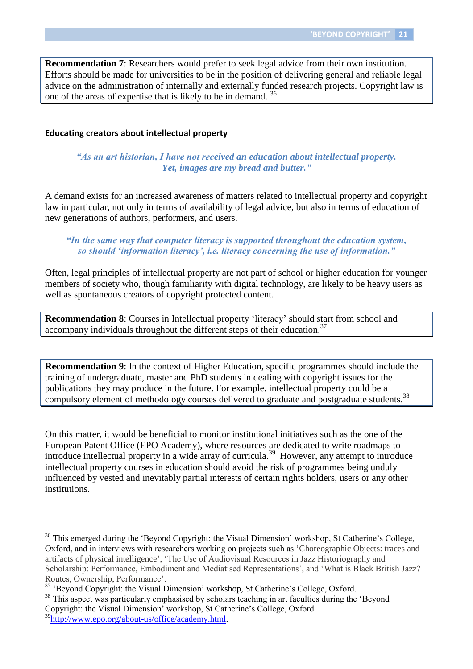**Recommendation 7**: Researchers would prefer to seek legal advice from their own institution. Efforts should be made for universities to be in the position of delivering general and reliable legal advice on the administration of internally and externally funded research projects. Copyright law is one of the areas of expertise that is likely to be in demand.<sup>36</sup>

#### **Educating creators about intellectual property**

*"As an art historian, I have not received an education about intellectual property. Yet, images are my bread and butter."*

A demand exists for an increased awareness of matters related to intellectual property and copyright law in particular, not only in terms of availability of legal advice, but also in terms of education of new generations of authors, performers, and users.

#### *"In the same way that computer literacy is supported throughout the education system, so should 'information literacy', i.e. literacy concerning the use of information."*

Often, legal principles of intellectual property are not part of school or higher education for younger members of society who, though familiarity with digital technology, are likely to be heavy users as well as spontaneous creators of copyright protected content.

**Recommendation 8**: Courses in Intellectual property 'literacy' should start from school and accompany individuals throughout the different steps of their education.<sup>37</sup>

**Recommendation 9**: In the context of Higher Education, specific programmes should include the training of undergraduate, master and PhD students in dealing with copyright issues for the publications they may produce in the future. For example, intellectual property could be a compulsory element of methodology courses delivered to graduate and postgraduate students.<sup>38</sup>

On this matter, it would be beneficial to monitor institutional initiatives such as the one of the European Patent Office (EPO Academy), where resources are dedicated to write roadmaps to introduce intellectual property in a wide array of curricula.<sup>39</sup> However, any attempt to introduce intellectual property courses in education should avoid the risk of programmes being unduly influenced by vested and inevitably partial interests of certain rights holders, users or any other institutions.

<sup>&</sup>lt;sup>36</sup> This emerged during the 'Beyond Copyright: the Visual Dimension' workshop, St Catherine's College, Oxford, and in interviews with researchers working on projects such as 'Choreographic Objects: traces and artifacts of physical intelligence', 'The Use of Audiovisual Resources in Jazz Historiography and Scholarship: Performance, Embodiment and Mediatised Representations', and 'What is Black British Jazz? Routes, Ownership, Performance'.

<sup>&</sup>lt;sup>37</sup> 'Beyond Copyright: the Visual Dimension' workshop, St Catherine's College, Oxford.

<sup>&</sup>lt;sup>38</sup> This aspect was particularly emphasised by scholars teaching in art faculties during the 'Beyond Copyright: the Visual Dimension' workshop, St Catherine's College, Oxford.

<sup>&</sup>lt;sup>39</sup>http://www<u>.epo.org/about-us/office/academy.html</u>.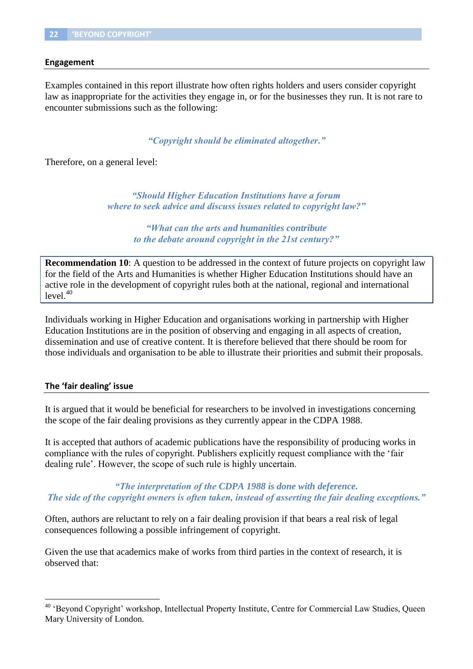#### **Engagement**

Examples contained in this report illustrate how often rights holders and users consider copyright law as inappropriate for the activities they engage in, or for the businesses they run. It is not rare to encounter submissions such as the following:

*"Copyright should be eliminated altogether."*

Therefore, on a general level:

*"Should Higher Education Institutions have a forum where to seek advice and discuss issues related to copyright law?"*

> *"What can the arts and humanities contribute to the debate around copyright in the 21st century?"*

**Recommendation 10**: A question to be addressed in the context of future projects on copyright law for the field of the Arts and Humanities is whether Higher Education Institutions should have an active role in the development of copyright rules both at the national, regional and international  $level.<sup>40</sup>$ 

Individuals working in Higher Education and organisations working in partnership with Higher Education Institutions are in the position of observing and engaging in all aspects of creation, dissemination and use of creative content. It is therefore believed that there should be room for those individuals and organisation to be able to illustrate their priorities and submit their proposals.

#### **The 'fair dealing' issue**

 $\overline{a}$ 

It is argued that it would be beneficial for researchers to be involved in investigations concerning the scope of the fair dealing provisions as they currently appear in the CDPA 1988.

It is accepted that authors of academic publications have the responsibility of producing works in compliance with the rules of copyright. Publishers explicitly request compliance with the 'fair dealing rule'. However, the scope of such rule is highly uncertain.

*"The interpretation of the CDPA 1988 is done with deference. The side of the copyright owners is often taken, instead of asserting the fair dealing exceptions."*

Often, authors are reluctant to rely on a fair dealing provision if that bears a real risk of legal consequences following a possible infringement of copyright.

Given the use that academics make of works from third parties in the context of research, it is observed that:

<sup>&</sup>lt;sup>40</sup> 'Beyond Copyright' workshop, Intellectual Property Institute, Centre for Commercial Law Studies, Queen Mary University of London.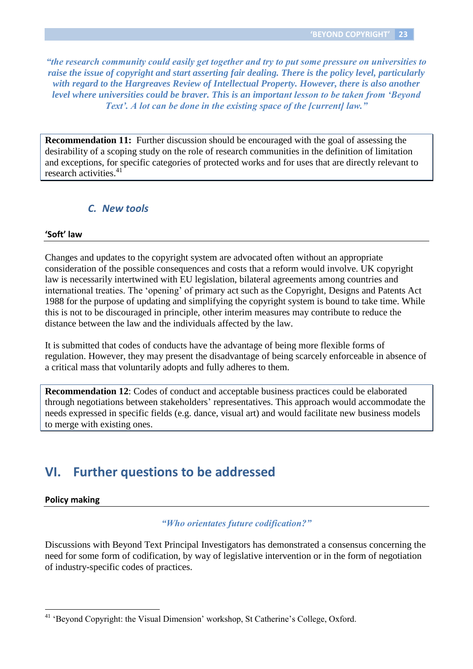*"the research community could easily get together and try to put some pressure on universities to raise the issue of copyright and start asserting fair dealing. There is the policy level, particularly with regard to the Hargreaves Review of Intellectual Property. However, there is also another level where universities could be braver. This is an important lesson to be taken from 'Beyond Text'. A lot can be done in the existing space of the [current] law."*

**Recommendation 11:** Further discussion should be encouraged with the goal of assessing the desirability of a scoping study on the role of research communities in the definition of limitation and exceptions, for specific categories of protected works and for uses that are directly relevant to research activities.<sup>41</sup>

#### *C. New tools*

#### **'Soft' law**

Changes and updates to the copyright system are advocated often without an appropriate consideration of the possible consequences and costs that a reform would involve. UK copyright law is necessarily intertwined with EU legislation, bilateral agreements among countries and international treaties. The 'opening' of primary act such as the Copyright, Designs and Patents Act 1988 for the purpose of updating and simplifying the copyright system is bound to take time. While this is not to be discouraged in principle, other interim measures may contribute to reduce the distance between the law and the individuals affected by the law.

It is submitted that codes of conducts have the advantage of being more flexible forms of regulation. However, they may present the disadvantage of being scarcely enforceable in absence of a critical mass that voluntarily adopts and fully adheres to them.

**Recommendation 12**: Codes of conduct and acceptable business practices could be elaborated through negotiations between stakeholders' representatives. This approach would accommodate the needs expressed in specific fields (e.g. dance, visual art) and would facilitate new business models to merge with existing ones.

## **VI. Further questions to be addressed**

#### **Policy making**

 $\overline{a}$ 

#### *"Who orientates future codification?"*

Discussions with Beyond Text Principal Investigators has demonstrated a consensus concerning the need for some form of codification, by way of legislative intervention or in the form of negotiation of industry-specific codes of practices.

<sup>41</sup> 'Beyond Copyright: the Visual Dimension' workshop, St Catherine's College, Oxford.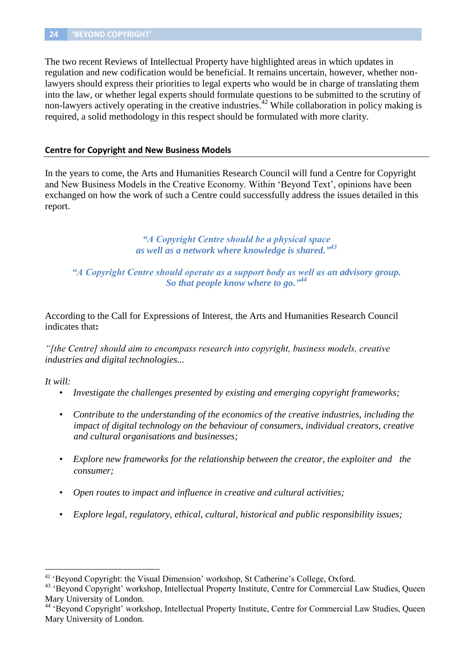The two recent Reviews of Intellectual Property have highlighted areas in which updates in regulation and new codification would be beneficial. It remains uncertain, however, whether nonlawyers should express their priorities to legal experts who would be in charge of translating them into the law, or whether legal experts should formulate questions to be submitted to the scrutiny of non-lawyers actively operating in the creative industries.<sup>42</sup> While collaboration in policy making is required, a solid methodology in this respect should be formulated with more clarity.

#### **Centre for Copyright and New Business Models**

In the years to come, the Arts and Humanities Research Council will fund a Centre for Copyright and New Business Models in the Creative Economy. Within 'Beyond Text', opinions have been exchanged on how the work of such a Centre could successfully address the issues detailed in this report.

> *"A Copyright Centre should be a physical space as well as a network where knowledge is shared." 43*

*"A Copyright Centre should operate as a support body as well as an advisory group. So that people know where to go." 44*

According to the Call for Expressions of Interest, the Arts and Humanities Research Council indicates that**:**

*"[the Centre] should aim to encompass research into copyright, business models, creative industries and digital technologies...*

#### *It will:*

- *Investigate the challenges presented by existing and emerging copyright frameworks;*
- *Contribute to the understanding of the economics of the creative industries, including the impact of digital technology on the behaviour of consumers, individual creators, creative and cultural organisations and businesses;*
- *Explore new frameworks for the relationship between the creator, the exploiter and the consumer;*
- *Open routes to impact and influence in creative and cultural activities;*
- *Explore legal, regulatory, ethical, cultural, historical and public responsibility issues;*

<sup>42</sup> 'Beyond Copyright: the Visual Dimension' workshop, St Catherine's College, Oxford.

<sup>&</sup>lt;sup>43</sup> 'Beyond Copyright' workshop, Intellectual Property Institute, Centre for Commercial Law Studies, Queen Mary University of London.

<sup>44</sup> 'Beyond Copyright' workshop, Intellectual Property Institute, Centre for Commercial Law Studies, Queen Mary University of London.